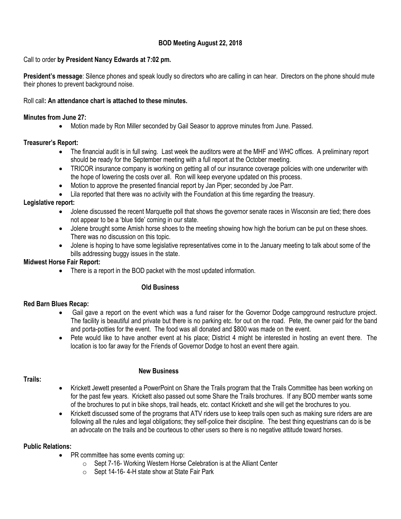## **BOD Meeting August 22, 2018**

## Call to order **by President Nancy Edwards at 7:02 pm.**

**President's message**: Silence phones and speak loudly so directors who are calling in can hear. Directors on the phone should mute their phones to prevent background noise.

## Roll call**: An attendance chart is attached to these minutes.**

## **Minutes from June 27:**

Motion made by Ron Miller seconded by Gail Seasor to approve minutes from June. Passed.

## **Treasurer's Report:**

- The financial audit is in full swing. Last week the auditors were at the MHF and WHC offices. A preliminary report should be ready for the September meeting with a full report at the October meeting.
- TRICOR insurance company is working on getting all of our insurance coverage policies with one underwriter with the hope of lowering the costs over all. Ron will keep everyone updated on this process.
- Motion to approve the presented financial report by Jan Piper; seconded by Joe Parr.
- Lila reported that there was no activity with the Foundation at this time regarding the treasury.

## **Legislative report:**

- Jolene discussed the recent Marquette poll that shows the governor senate races in Wisconsin are tied; there does not appear to be a 'blue tide' coming in our state.
- Jolene brought some Amish horse shoes to the meeting showing how high the borium can be put on these shoes. There was no discussion on this topic.
- Jolene is hoping to have some legislative representatives come in to the January meeting to talk about some of the bills addressing buggy issues in the state.

#### **Midwest Horse Fair Report:**

• There is a report in the BOD packet with the most updated information.

## **Old Business**

#### **Red Barn Blues Recap:**

- Gail gave a report on the event which was a fund raiser for the Governor Dodge campground restructure project. The facility is beautiful and private but there is no parking etc. for out on the road. Pete, the owner paid for the band and porta-potties for the event. The food was all donated and \$800 was made on the event.
- Pete would like to have another event at his place; District 4 might be interested in hosting an event there. The location is too far away for the Friends of Governor Dodge to host an event there again.

#### **Trails:**

#### **New Business**

- Krickett Jewett presented a PowerPoint on Share the Trails program that the Trails Committee has been working on for the past few years. Krickett also passed out some Share the Trails brochures. If any BOD member wants some of the brochures to put in bike shops, trail heads, etc. contact Krickett and she will get the brochures to you.
- Krickett discussed some of the programs that ATV riders use to keep trails open such as making sure riders are are following all the rules and legal obligations; they self-police their discipline. The best thing equestrians can do is be an advocate on the trails and be courteous to other users so there is no negative attitude toward horses.

#### **Public Relations:**

- PR committee has some events coming up:
	- o Sept 7-16- Working Western Horse Celebration is at the Alliant Center
	- o Sept 14-16- 4-H state show at State Fair Park